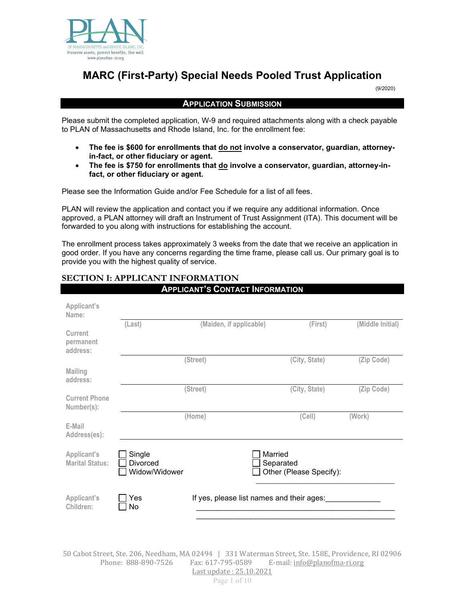

# **MARC (First-Party) Special Needs Pooled Trust Application**

(9/2020)

#### **APPLICATION SUBMISSION**

Please submit the completed application, W-9 and required attachments along with a check payable to PLAN of Massachusetts and Rhode Island, Inc. for the enrollment fee:

- **The fee is \$600 for enrollments that do not involve a conservator, guardian, attorneyin-fact, or other fiduciary or agent.**
- **The fee is \$750 for enrollments that do involve a conservator, guardian, attorney-infact, or other fiduciary or agent.**

Please see the Information Guide and/or Fee Schedule for a list of all fees.

PLAN will review the application and contact you if we require any additional information. Once approved, a PLAN attorney will draft an Instrument of Trust Assignment (ITA). This document will be forwarded to you along with instructions for establishing the account.

The enrollment process takes approximately 3 weeks from the date that we receive an application in good order. If you have any concerns regarding the time frame, please call us. Our primary goal is to provide you with the highest quality of service.

## **SECTION I: APPLICANT INFORMATION**

|                                       |                                     | <b>APPLICANT'S CONTACT INFORMATION</b>    |                      |                         |                  |
|---------------------------------------|-------------------------------------|-------------------------------------------|----------------------|-------------------------|------------------|
| Applicant's<br>Name:                  |                                     |                                           |                      |                         |                  |
| Current<br>permanent<br>address:      | (Last)                              | (Maiden, if applicable)                   |                      | (First)                 | (Middle Initial) |
|                                       |                                     | (Street)                                  |                      | (City, State)           | (Zip Code)       |
| <b>Mailing</b><br>address:            |                                     |                                           |                      |                         |                  |
| <b>Current Phone</b><br>Number(s):    |                                     | (Street)                                  |                      | (City, State)           | (Zip Code)       |
|                                       |                                     | (Home)                                    |                      | (Cell)                  | (Work)           |
| E-Mail<br>Address(es):                |                                     |                                           |                      |                         |                  |
| Applicant's<br><b>Marital Status:</b> | Single<br>Divorced<br>Widow/Widower |                                           | Married<br>Separated | Other (Please Specify): |                  |
| Applicant's<br>Children:              | Yes<br>No                           | If yes, please list names and their ages: |                      |                         |                  |

50 Cabot Street, Ste. 206, Needham, MA 02494 | 331 Waterman Street, Ste. 158E, Providence, RI 02906 E-mail: [info@planofma-ri.org](mailto:info@planofma-ri.org) Last update : 25.10.2021

Page 1 of 10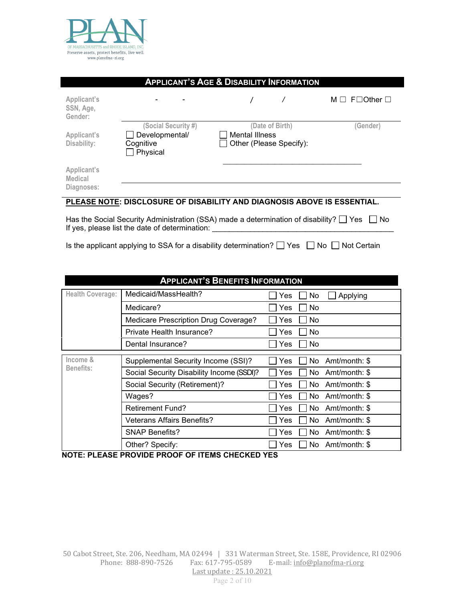

| <b>APPLICANT'S AGE &amp; DISABILITY INFORMATION</b> |                                                                |                                                                         |                                |  |
|-----------------------------------------------------|----------------------------------------------------------------|-------------------------------------------------------------------------|--------------------------------|--|
| Applicant's<br>SSN, Age,<br>Gender:                 |                                                                |                                                                         | $M \Box$ F $\Box$ Other $\Box$ |  |
| Applicant's<br>Disability:                          | (Social Security #)<br>Developmental/<br>Cognitive<br>Physical | (Date of Birth)<br><b>Mental Illness</b><br>Other (Please Specify):     | (Gender)                       |  |
| Applicant's<br>Medical<br>Diagnoses:                |                                                                |                                                                         |                                |  |
|                                                     |                                                                | PLEASE NOTE: DISCLOSURE OF DISABILITY AND DIAGNOSIS ABOVE IS ESSENTIAL. |                                |  |

# Has the Social Security Administration (SSA) made a determination of disability?  $\Box$  Yes  $\Box$  No

If yes, please list the date of determination:

Is the applicant applying to SSA for a disability determination?  $\Box$  Yes  $\Box$  No  $\Box$  Not Certain

| <b>APPLICANT'S BENEFITS INFORMATION</b> |                                           |                             |  |  |
|-----------------------------------------|-------------------------------------------|-----------------------------|--|--|
| <b>Health Coverage:</b>                 | Medicaid/MassHealth?                      | Applying<br>Yes<br>No       |  |  |
|                                         | Medicare?                                 | Yes<br>No                   |  |  |
|                                         | Medicare Prescription Drug Coverage?      | No<br>Yes                   |  |  |
|                                         | Private Health Insurance?                 | No<br>Yes                   |  |  |
|                                         | Dental Insurance?                         | No<br>Yes                   |  |  |
| Income &                                | Supplemental Security Income (SSI)?       | Amt/month: \$<br>No<br>Yes  |  |  |
| <b>Benefits:</b>                        | Social Security Disability Income (SSDI)? | Amt/month: \$<br>No<br>Yes. |  |  |
|                                         | Social Security (Retirement)?             | Yes<br>No.<br>Amt/month: \$ |  |  |
|                                         | Wages?                                    | No.<br>Yes<br>Amt/month: \$ |  |  |
|                                         | <b>Retirement Fund?</b>                   | Amt/month: \$<br>Yes<br>No. |  |  |
|                                         | <b>Veterans Affairs Benefits?</b>         | Yes<br>No.<br>Amt/month: \$ |  |  |
|                                         | <b>SNAP Benefits?</b>                     | Amt/month: \$<br>Yes<br>No. |  |  |
|                                         | Other? Specify:                           | Amt/month: \$<br>Yes<br>No. |  |  |

**NOTE: PLEASE PROVIDE PROOF OF ITEMS CHECKED YES**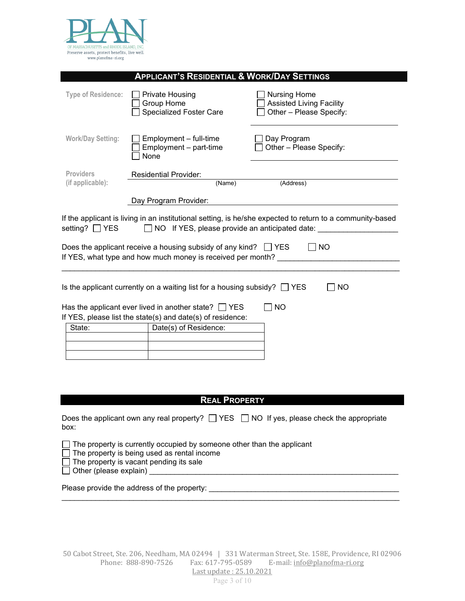

|                                      | <b>APPLICANT'S RESIDENTIAL &amp; WORK/DAY SETTINGS</b>                                                                                                                                                    |                                                                                                                      |
|--------------------------------------|-----------------------------------------------------------------------------------------------------------------------------------------------------------------------------------------------------------|----------------------------------------------------------------------------------------------------------------------|
| <b>Type of Residence:</b>            | <b>Private Housing</b><br>Group Home<br>Specialized Foster Care                                                                                                                                           | <b>Nursing Home</b><br><b>Assisted Living Facility</b><br>Other - Please Specify:                                    |
| <b>Work/Day Setting:</b>             | Employment - full-time<br>Employment - part-time<br>None                                                                                                                                                  | Day Program<br>Other - Please Specify:                                                                               |
| <b>Providers</b><br>(if applicable): | <b>Residential Provider:</b><br>(Name)                                                                                                                                                                    | (Address)                                                                                                            |
|                                      | Day Program Provider:                                                                                                                                                                                     |                                                                                                                      |
| setting? □ YES                       | $\Box$ NO If YES, please provide an anticipated date: $\Box$                                                                                                                                              | If the applicant is living in an institutional setting, is he/she expected to return to a community-based            |
|                                      | Does the applicant receive a housing subsidy of any kind? $\Box$ YES<br>If YES, what type and how much money is received per month?                                                                       | NO                                                                                                                   |
|                                      | Is the applicant currently on a waiting list for a housing subsidy? $\Box$ YES<br>Has the applicant ever lived in another state? $\Box$ YES<br>If YES, please list the state(s) and date(s) of residence: | <b>NO</b><br><b>NO</b>                                                                                               |
| State:                               | Date(s) of Residence:                                                                                                                                                                                     |                                                                                                                      |
|                                      |                                                                                                                                                                                                           |                                                                                                                      |
|                                      | <b>REAL PROPERTY</b>                                                                                                                                                                                      |                                                                                                                      |
| box:                                 |                                                                                                                                                                                                           | Does the applicant own any real property? $\Box$ YES $\Box$ NO If yes, please check the appropriate                  |
| Other (please explain)               | $\Box$ The property is currently occupied by someone other than the applicant<br>The property is being used as rental income<br>The property is vacant pending its sale                                   | <u> 1990 - Paris Paris, poeta estadounidense e a contrar estadounidense e a contrar estadounidense e a contrar e</u> |
|                                      | Please provide the address of the property:                                                                                                                                                               |                                                                                                                      |

\_\_\_\_\_\_\_\_\_\_\_\_\_\_\_\_\_\_\_\_\_\_\_\_\_\_\_\_\_\_\_\_\_\_\_\_\_\_\_\_\_\_\_\_\_\_\_\_\_\_\_\_\_\_\_\_\_\_\_\_\_\_\_\_\_\_\_\_\_\_\_\_\_\_\_\_\_\_\_\_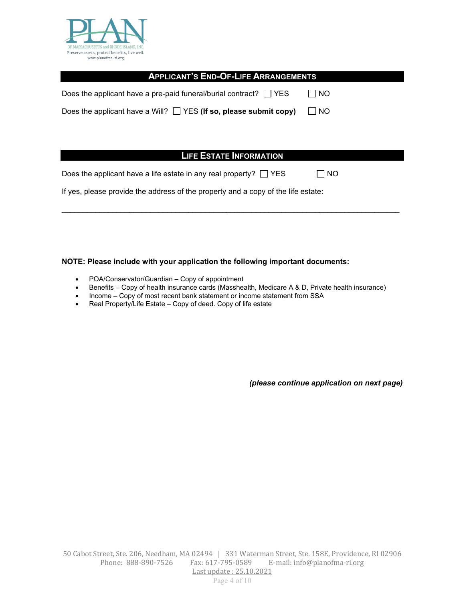

| <b>APPLICANT'S END-OF-LIFE ARRANGEMENTS</b>                                       |      |  |  |
|-----------------------------------------------------------------------------------|------|--|--|
| Does the applicant have a pre-paid funeral/burial contract? $\Box$ YES            | NO   |  |  |
| Does the applicant have a Will? $\Box$ YES (If so, please submit copy)            | NO   |  |  |
|                                                                                   |      |  |  |
|                                                                                   |      |  |  |
| <b>LIFE ESTATE INFORMATION</b>                                                    |      |  |  |
| Does the applicant have a life estate in any real property? $\Box$ YES            | I NO |  |  |
| If yes, please provide the address of the property and a copy of the life estate: |      |  |  |
|                                                                                   |      |  |  |

#### **NOTE: Please include with your application the following important documents:**

- POA/Conservator/Guardian Copy of appointment
- Benefits Copy of health insurance cards (Masshealth, Medicare A & D, Private health insurance)
- Income Copy of most recent bank statement or income statement from SSA
- Real Property/Life Estate Copy of deed. Copy of life estate

*(please continue application on next page)*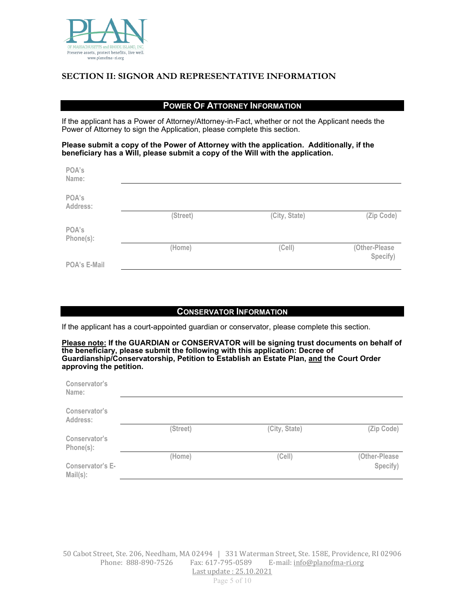

## **SECTION II: SIGNOR AND REPRESENTATIVE INFORMATION**

## **POWER OF ATTORNEY INFORMATION**

If the applicant has a Power of Attorney/Attorney-in-Fact, whether or not the Applicant needs the Power of Attorney to sign the Application, please complete this section.

#### **Please submit a copy of the Power of Attorney with the application. Additionally, if the beneficiary has a Will, please submit a copy of the Will with the application.**

| POA's<br>Name:     |          |               |               |
|--------------------|----------|---------------|---------------|
| POA's<br>Address:  |          |               |               |
|                    | (Street) | (City, State) | (Zip Code)    |
| POA's<br>Phone(s): |          |               |               |
|                    | (Home)   | (Cell)        | (Other-Please |
| POA's E-Mail       |          |               | Specify)      |

### **CONSERVATOR INFORMATION**

If the applicant has a court-appointed guardian or conservator, please complete this section.

**Please note: If the GUARDIAN or CONSERVATOR will be signing trust documents on behalf of the beneficiary, please submit the following with this application: Decree of Guardianship/Conservatorship, Petition to Establish an Estate Plan, and the Court Order approving the petition.**

| Conservator's<br>Name:                 |          |               |               |
|----------------------------------------|----------|---------------|---------------|
| Conservator's<br>Address:              |          |               |               |
|                                        | (Street) | (City, State) | (Zip Code)    |
| Conservator's<br>Phone(s):             |          |               |               |
|                                        | (Home)   | (Cell)        | (Other-Please |
| <b>Conservator's E-</b><br>$Mail(s)$ : |          |               | Specify)      |

Page 5 of 10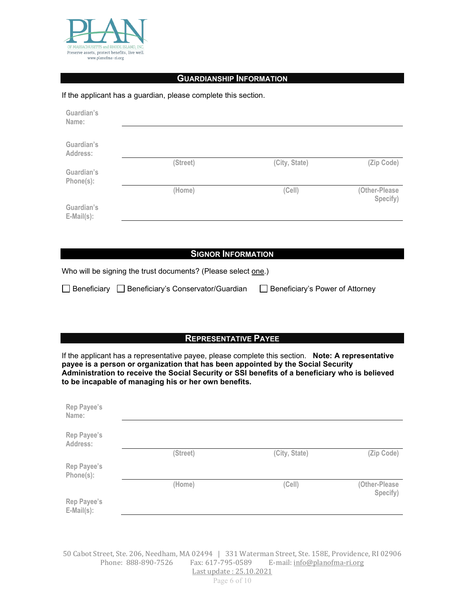

#### **GUARDIANSHIP INFORMATION**

#### If the applicant has a guardian, please complete this section.

| Guardian's<br>Name:             |          |               |                           |
|---------------------------------|----------|---------------|---------------------------|
| Guardian's<br>Address:          |          |               |                           |
|                                 | (Street) | (City, State) | (Zip Code)                |
| Guardian's<br>Phone(s):         |          |               |                           |
|                                 | (Home)   | (Cell)        | (Other-Please<br>Specify) |
| Guardian's<br>$E$ -Mail $(s)$ : |          |               |                           |

#### **SIGNOR INFORMATION**

Who will be signing the trust documents? (Please select one.)

|  | □ Beneficiary □ Beneficiary's Conservator/Guardian | □ Beneficiary's Power of Attorney |
|--|----------------------------------------------------|-----------------------------------|
|--|----------------------------------------------------|-----------------------------------|

## **REPRESENTATIVE PAYEE**

If the applicant has a representative payee, please complete this section. **Note: A representative payee is a person or organization that has been appointed by the Social Security Administration to receive the Social Security or SSI benefits of a beneficiary who is believed to be incapable of managing his or her own benefits.** 

| Rep Payee's<br>Name:         |          |               |                           |
|------------------------------|----------|---------------|---------------------------|
| Rep Payee's<br>Address:      |          |               |                           |
|                              | (Street) | (City, State) | (Zip Code)                |
| Rep Payee's<br>Phone(s):     |          |               |                           |
|                              | (Home)   | (Cell)        | (Other-Please<br>Specify) |
| Rep Payee's<br>$E-Mail(s)$ : |          |               |                           |

50 Cabot Street, Ste. 206, Needham, MA 02494 | 331 Waterman Street, Ste. 158E, Providence, RI 02906 E-mail: [info@planofma-ri.org](mailto:info@planofma-ri.org) Last update : 25.10.2021

Page 6 of 10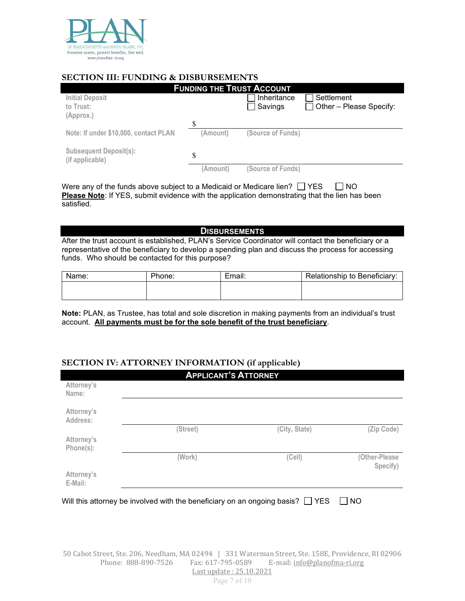

## **SECTION III: FUNDING & DISBURSEMENTS**

| <b>FUNDING THE TRUST ACCOUNT</b>                 |          |                   |                         |
|--------------------------------------------------|----------|-------------------|-------------------------|
| <b>Initial Deposit</b>                           |          | Inheritance       | Settlement              |
| to Trust:                                        |          | $\exists$ Savings | Other - Please Specify: |
| (Approx.)                                        |          |                   |                         |
|                                                  | \$.      |                   |                         |
| Note: If under \$10,000, contact PLAN            | (Amount) | (Source of Funds) |                         |
|                                                  |          |                   |                         |
| <b>Subsequent Deposit(s):</b><br>(if applicable) | \$       |                   |                         |
|                                                  | (Amount) | (Source of Funds) |                         |
|                                                  |          |                   |                         |

Were any of the funds above subject to a Medicaid or Medicare lien?  $\Box$  YES  $\Box$  NO **Please Note**: If YES, submit evidence with the application demonstrating that the lien has been satisfied.

**DISBURSEMENTS**

After the trust account is established, PLAN's Service Coordinator will contact the beneficiary or a representative of the beneficiary to develop a spending plan and discuss the process for accessing funds. Who should be contacted for this purpose?

| Name: | Phone: | Email: | Relationship to Beneficiary: |
|-------|--------|--------|------------------------------|
|       |        |        |                              |
|       |        |        |                              |

**Note:** PLAN, as Trustee, has total and sole discretion in making payments from an individual's trust account. **All payments must be for the sole benefit of the trust beneficiary**.

## **SECTION IV: ATTORNEY INFORMATION (if applicable)**

|                         | <b>APPLICANT'S ATTORNEY</b>                                                         |               |                           |
|-------------------------|-------------------------------------------------------------------------------------|---------------|---------------------------|
| Attorney's<br>Name:     |                                                                                     |               |                           |
| Attorney's<br>Address:  |                                                                                     |               |                           |
|                         | (Street)                                                                            | (City, State) | (Zip Code)                |
| Attorney's<br>Phone(s): |                                                                                     |               |                           |
|                         | (Work)                                                                              | (Cell)        | (Other-Please<br>Specify) |
| Attorney's<br>E-Mail:   |                                                                                     |               |                           |
|                         | Will this attorney be involved with the beneficiary on an ongoing basis? $\Box$ YES |               | I I NO                    |

50 Cabot Street, Ste. 206, Needham, MA 02494 | 331 Waterman Street, Ste. 158E, Providence, RI 02906 E-mail: [info@planofma-ri.org](mailto:info@planofma-ri.org) Last update : 25.10.2021

Page 7 of 10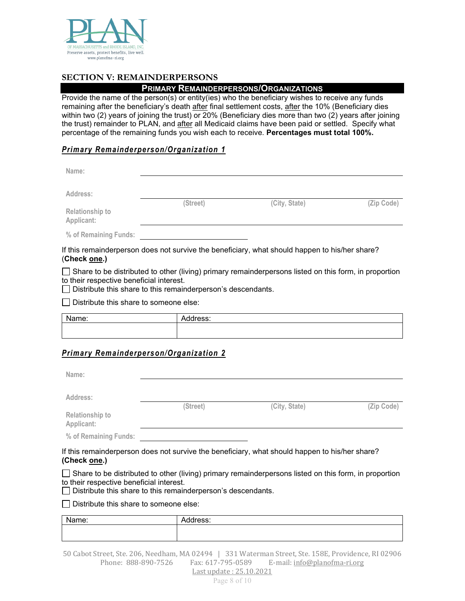

## **SECTION V: REMAINDERPERSONS**

## **PRIMARY REMAINDERPERSONS/ORGANIZATIONS**

Provide the name of the person(s) or entity(ies) who the beneficiary wishes to receive any funds remaining after the beneficiary's death after final settlement costs, after the 10% (Beneficiary dies within two (2) years of joining the trust) or 20% (Beneficiary dies more than two (2) years after joining the trust) remainder to PLAN, and after all Medicaid claims have been paid or settled. Specify what percentage of the remaining funds you wish each to receive. **Percentages must total 100%.**

## *Primary Remainderperson/Organization 1*

| Name:                                |          |               |            |
|--------------------------------------|----------|---------------|------------|
| Address:                             | (Street) | (City, State) | (Zip Code) |
| <b>Relationship to</b><br>Applicant: |          |               |            |
| % of Remaining Funds:                |          |               |            |

If this remainderperson does not survive the beneficiary, what should happen to his/her share? (**Check one.)**

 $\Box$  Share to be distributed to other (living) primary remainderpersons listed on this form, in proportion to their respective beneficial interest.

 $\Box$  Distribute this share to this remainderperson's descendants.

 $\Box$  Distribute this share to someone else:

| Name: | Address: |
|-------|----------|
|       |          |

## *Primary Remainderperson/Organization 2*

| Name:                                |          |               |            |
|--------------------------------------|----------|---------------|------------|
|                                      |          |               |            |
| Address:                             |          |               |            |
|                                      | (Street) | (City, State) | (Zip Code) |
| <b>Relationship to</b><br>Applicant: |          |               |            |
| % of Remaining Funds:                |          |               |            |

If this remainderperson does not survive the beneficiary, what should happen to his/her share? **(Check one.)**

 $\Box$  Share to be distributed to other (living) primary remainderpersons listed on this form, in proportion to their respective beneficial interest.

 $\Box$  Distribute this share to this remainderperson's descendants.

 $\Box$  Distribute this share to someone else:

| Nomo: | ״       |
|-------|---------|
| une.  | ldress: |
| ,,,,  | w       |
|       |         |

50 Cabot Street, Ste. 206, Needham, MA 02494 | 331 Waterman Street, Ste. 158E, Providence, RI 02906  $E$ -mail: [info@planofma-ri.org](mailto:info@planofma-ri.org)

Last update : 25.10.2021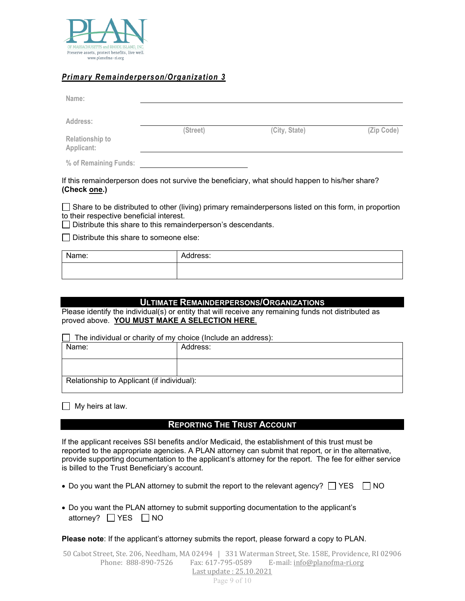

## *Primary Remainderperson/Organization 3*

| Name:                         |          |               |            |
|-------------------------------|----------|---------------|------------|
| Address:                      |          |               |            |
| Relationship to<br>Applicant: | (Street) | (City, State) | (Zip Code) |
| % of Remaining Funds:         |          |               |            |

If this remainderperson does not survive the beneficiary, what should happen to his/her share? **(Check one.)**

 $\Box$  Share to be distributed to other (living) primary remainderpersons listed on this form, in proportion to their respective beneficial interest.

 $\Box$  Distribute this share to this remainderperson's descendants.

 $\Box$  Distribute this share to someone else:

| Name:<br>. | Address: |
|------------|----------|
|            |          |

### **ULTIMATE REMAINDERPERSONS/ORGANIZATIONS**

Please identify the individual(s) or entity that will receive any remaining funds not distributed as proved above. **YOU MUST MAKE A SELECTION HERE**.

 $\Box$  The individual or charity of my choice (Include an address):

| Name:                                      | Address: |  |
|--------------------------------------------|----------|--|
|                                            |          |  |
| Relationship to Applicant (if individual): |          |  |

 $\Box$  My heirs at law.

### **REPORTING THE TRUST ACCOUNT**

If the applicant receives SSI benefits and/or Medicaid, the establishment of this trust must be reported to the appropriate agencies. A PLAN attorney can submit that report, or in the alternative, provide supporting documentation to the applicant's attorney for the report. The fee for either service is billed to the Trust Beneficiary's account.

- Do you want the PLAN attorney to submit the report to the relevant agency?  $\Box$  YES  $\Box$  NO
- Do you want the PLAN attorney to submit supporting documentation to the applicant's attorney?  $\Box$  YES  $\Box$  NO

**Please note**: If the applicant's attorney submits the report, please forward a copy to PLAN.

50 Cabot Street, Ste. 206, Needham, MA 02494 | 331 Waterman Street, Ste. 158E, Providence, RI 02906 E-mail: [info@planofma-ri.org](mailto:info@planofma-ri.org)